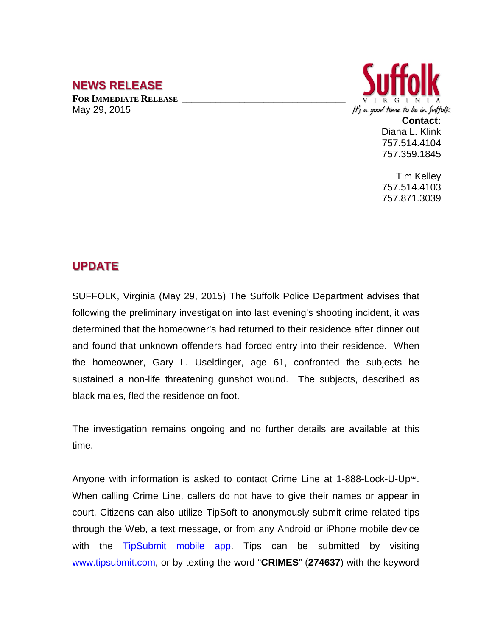## **NEWS RELEASE**

**FOR IMMEDIATE RELEASE \_\_\_\_\_\_\_\_\_\_\_\_\_\_\_\_\_\_\_\_\_\_\_\_\_\_\_\_\_\_\_\_\_\_** May 29, 2015



**Contact:** Diana L. Klink 757.514.4104 757.359.1845

Tim Kelley 757.514.4103 757.871.3039

## **UPDATE**

SUFFOLK, Virginia (May 29, 2015) The Suffolk Police Department advises that following the preliminary investigation into last evening's shooting incident, it was determined that the homeowner's had returned to their residence after dinner out and found that unknown offenders had forced entry into their residence. When the homeowner, Gary L. Useldinger, age 61, confronted the subjects he sustained a non-life threatening gunshot wound. The subjects, described as black males, fled the residence on foot.

The investigation remains ongoing and no further details are available at this time.

Anyone with information is asked to contact Crime Line at 1-888-Lock-U-Up℠. When calling Crime Line, callers do not have to give their names or appear in court. Citizens can also utilize TipSoft to anonymously submit crime-related tips through the Web, a text message, or from any Android or iPhone mobile device with the TipSubmit mobile app. Tips can be submitted by visiting www.tipsubmit.com, or by texting the word "**CRIMES**" (**274637**) with the keyword